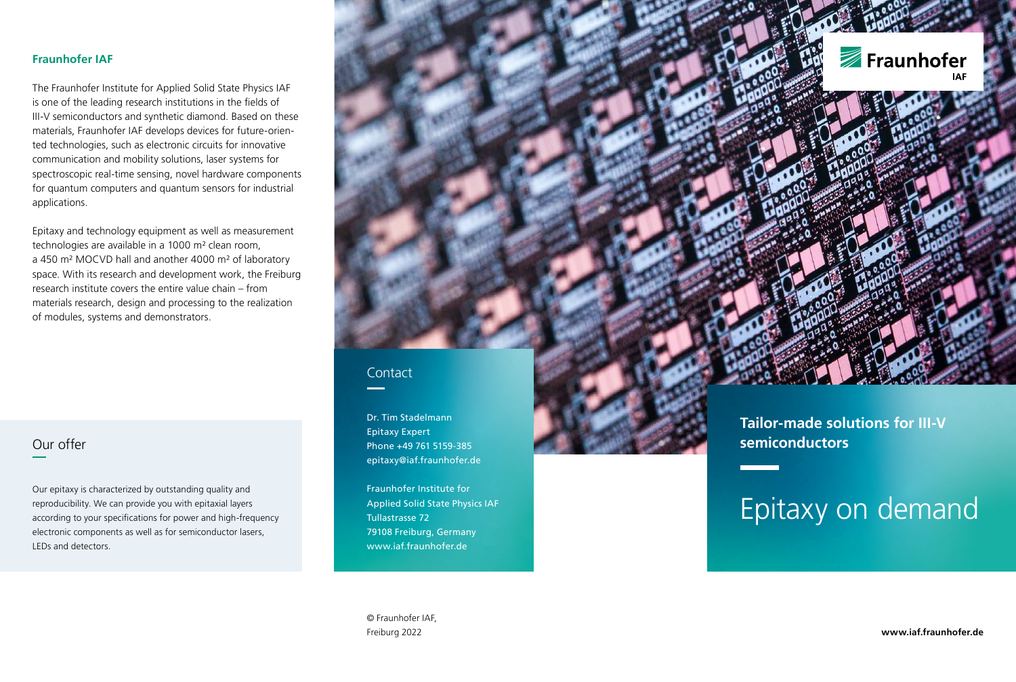#### **Fraunhofer IAF**

The Fraunhofer Institute for Applied Solid State Physics IAF is one of the leading research institutions in the fields of III-V semiconductors and synthetic diamond. Based on these materials, Fraunhofer IAF develops devices for future-oriented technologies, such as electronic circuits for innovative communication and mobility solutions, laser systems for spectroscopic real-time sensing, novel hardware components for quantum computers and quantum sensors for industrial applications.

Epitaxy and technology equipment as well as measurement technologies are available in a 1000 m² clean room, a 450 m² MOCVD hall and another 4000 m² of laboratory space. With its research and development work, the Freiburg research institute covers the entire value chain – from materials research, design and processing to the realization of modules, systems and demonstrators.

## Our offer

Our epitaxy is characterized by outstanding quality and reproducibility. We can provide you with epitaxial layers according to your specifications for power and high-frequency electronic components as well as for semiconductor lasers, LEDs and detectors.



### **Contact**

Dr. Tim Stadelmann Epitaxy Expert Phone +49 761 5159-385 epitaxy@iaf.fraunhofer.de

Fraunhofer Institute for Applied Solid State Physics IAF Tullastrasse 72 79108 Freiburg, Germany www.iaf.fraunhofer.de

© Fraunhofer IAF, Freiburg 2022

**Tailor-made solutions for III-V semiconductors**

# Epitaxy on demand